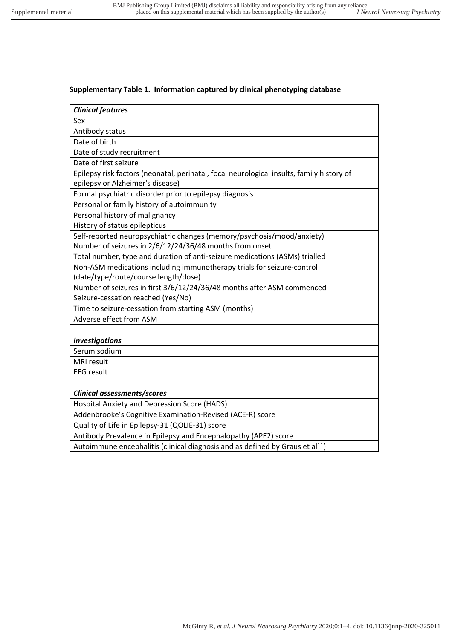## **Supplementary Table 1. Information captured by clinical phenotyping database**

| <b>Clinical features</b>                                                                  |
|-------------------------------------------------------------------------------------------|
| Sex                                                                                       |
| Antibody status                                                                           |
| Date of birth                                                                             |
| Date of study recruitment                                                                 |
| Date of first seizure                                                                     |
| Epilepsy risk factors (neonatal, perinatal, focal neurological insults, family history of |
| epilepsy or Alzheimer's disease)                                                          |
| Formal psychiatric disorder prior to epilepsy diagnosis                                   |
| Personal or family history of autoimmunity                                                |
| Personal history of malignancy                                                            |
| History of status epilepticus                                                             |
| Self-reported neuropsychiatric changes (memory/psychosis/mood/anxiety)                    |
| Number of seizures in 2/6/12/24/36/48 months from onset                                   |
| Total number, type and duration of anti-seizure medications (ASMs) trialled               |
| Non-ASM medications including immunotherapy trials for seizure-control                    |
| (date/type/route/course length/dose)                                                      |
| Number of seizures in first 3/6/12/24/36/48 months after ASM commenced                    |
| Seizure-cessation reached (Yes/No)                                                        |
| Time to seizure-cessation from starting ASM (months)                                      |
| Adverse effect from ASM                                                                   |
|                                                                                           |
| <b>Investigations</b>                                                                     |
| Serum sodium                                                                              |
| <b>MRI</b> result                                                                         |
| <b>EEG</b> result                                                                         |
|                                                                                           |
| Clinical assessments/scores                                                               |
| Hospital Anxiety and Depression Score (HADS)                                              |
| Addenbrooke's Cognitive Examination-Revised (ACE-R) score                                 |
| Quality of Life in Epilepsy-31 (QOLIE-31) score                                           |
| Antibody Prevalence in Epilepsy and Encephalopathy (APE2) score                           |
| Autoimmune encephalitis (clinical diagnosis and as defined by Graus et al <sup>11</sup> ) |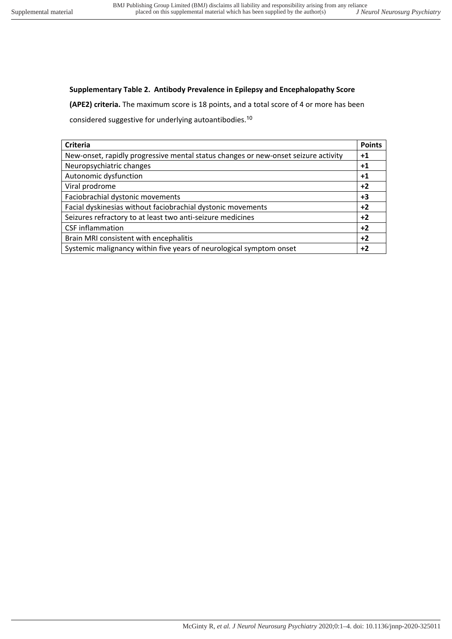## **Supplementary Table 2. Antibody Prevalence in Epilepsy and Encephalopathy Score**

**(APE2) criteria.** The maximum score is 18 points, and a total score of 4 or more has been

considered suggestive for underlying autoantibodies.<sup>10</sup>

| <b>Criteria</b>                                                                    | <b>Points</b> |
|------------------------------------------------------------------------------------|---------------|
| New-onset, rapidly progressive mental status changes or new-onset seizure activity | $+1$          |
| Neuropsychiatric changes                                                           | $+1$          |
| Autonomic dysfunction                                                              | $+1$          |
| Viral prodrome                                                                     | $+2$          |
| Faciobrachial dystonic movements                                                   | $+3$          |
| Facial dyskinesias without faciobrachial dystonic movements                        | $+2$          |
| Seizures refractory to at least two anti-seizure medicines                         | $+2$          |
| <b>CSF</b> inflammation                                                            | $+2$          |
| Brain MRI consistent with encephalitis                                             | $+2$          |
| Systemic malignancy within five years of neurological symptom onset                | $+2$          |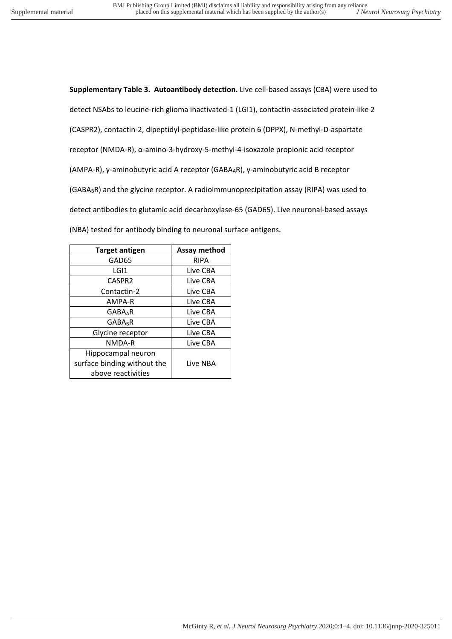**Supplementary Table 3. Autoantibody detection.** Live cell-based assays (CBA) were used to detect NSAbs to leucine-rich glioma inactivated-1 (LGI1), contactin-associated protein-like 2 (CASPR2), contactin-2, dipeptidyl-peptidase-like protein 6 (DPPX), N-methyl-D-aspartate receptor (NMDA-R), α-amino-3-hydroxy-5-methyl-4-isoxazole propionic acid receptor (AMPA-R), γ-aminobutyric acid A receptor (GABAAR), γ-aminobutyric acid B receptor  $(GABA_BR)$  and the glycine receptor. A radioimmunoprecipitation assay (RIPA) was used to detect antibodies to glutamic acid decarboxylase-65 (GAD65). Live neuronal-based assays (NBA) tested for antibody binding to neuronal surface antigens.

| <b>Target antigen</b>       | Assay method |
|-----------------------------|--------------|
| GAD65                       | RIPA         |
| LGI1                        | Live CBA     |
| CASPR2                      | Live CBA     |
| Contactin-2                 | Live CBA     |
| AMPA-R                      | Live CBA     |
| <b>GABAAR</b>               | Live CBA     |
| <b>GABAR</b>                | Live CBA     |
| Glycine receptor            | Live CBA     |
| NMDA-R                      | Live CBA     |
| Hippocampal neuron          |              |
| surface binding without the | Live NBA     |
| above reactivities          |              |